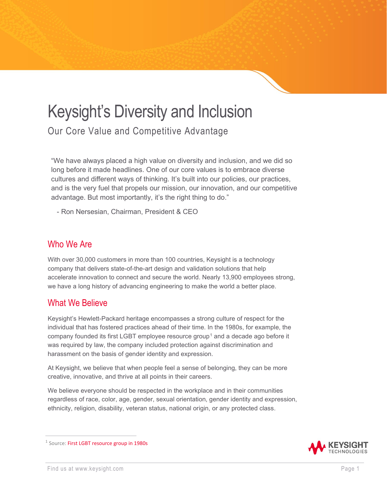# Keysight's Diversity and Inclusion

Our Core Value and Competitive Advantage

"We have always placed a high value on diversity and inclusion, and we did so long before it made headlines. One of our core values is to embrace diverse cultures and different ways of thinking. It's built into our policies, our practices, and is the very fuel that propels our mission, our innovation, and our competitive advantage. But most importantly, it's the right thing to do."

- Ron Nersesian, Chairman, President & CEO

# Who We Are

With over 30,000 customers in more than 100 countries, Keysight is a technology company that delivers state-of-the-art design and validation solutions that help accelerate innovation to connect and secure the world. Nearly 13,900 employees strong, we have a long history of advancing engineering to make the world a better place.

# What We Believe

Keysight's Hewlett-Packard heritage encompasses a strong culture of respect for the individual that has fostered practices ahead of their time. In the 1980s, for example, the company founded its first LGBT employee resource group<sup>[1](#page-0-0)</sup> and a decade ago before it was required by law, the company included protection against discrimination and harassment on the basis of gender identity and expression.

At Keysight, we believe that when people feel a sense of belonging, they can be more creative, innovative, and thrive at all points in their careers.

We believe everyone should be respected in the workplace and in their communities regardless of race, color, age, gender, sexual orientation, gender identity and expression, ethnicity, religion, disability, veteran status, national origin, or any protected class.

<span id="page-0-0"></span><sup>&</sup>lt;sup>1</sup> Source: [First LGBT resource group in 1980s](https://www.diversityinc.com/hps-chief-diversity-officer-discusses-new-racial-equality-and-social-justice-task-force/)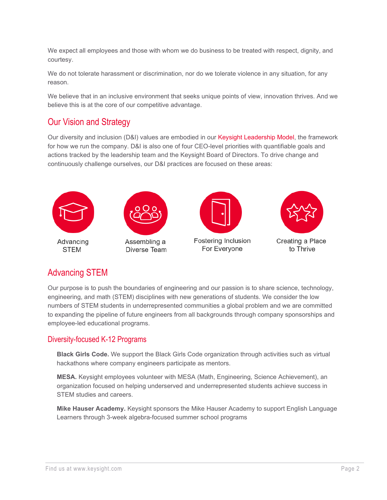We expect all employees and those with whom we do business to be treated with respect, dignity, and courtesy.

We do not tolerate harassment or discrimination, nor do we tolerate violence in any situation, for any reason.

We believe that in an inclusive environment that seeks unique points of view, innovation thrives. And we believe this is at the core of our competitive advantage.

### Our Vision and Strategy

Our diversity and inclusion (D&I) values are embodied in our [Keysight Leadership Model,](https://www.keysight.com/us/en/about/keysight-s-leadership-model.html) the framework for how we run the company. D&I is also one of four CEO-level priorities with quantifiable goals and actions tracked by the leadership team and the Keysight Board of Directors. To drive change and continuously challenge ourselves, our D&I practices are focused on these areas:





Assembling a Diverse Team



Fostering Inclusion For Everyone



Creating a Place to Thrive

# Advancing STEM

Our purpose is to push the boundaries of engineering and our passion is to share science, technology, engineering, and math (STEM) disciplines with new generations of students. We consider the low numbers of STEM students in underrepresented communities a global problem and we are committed to expanding the pipeline of future engineers from all backgrounds through company sponsorships and employee-led educational programs.

### Diversity-focused K-12 Programs

**Black Girls Code.** We support the Black Girls Code organization through activities such as virtual hackathons where company engineers participate as mentors.

**MESA.** Keysight employees volunteer with MESA (Math, Engineering, Science Achievement), an organization focused on helping underserved and underrepresented students achieve success in STEM studies and careers.

**Mike Hauser Academy.** Keysight sponsors the Mike Hauser Academy to support English Language Learners through 3-week algebra-focused summer school programs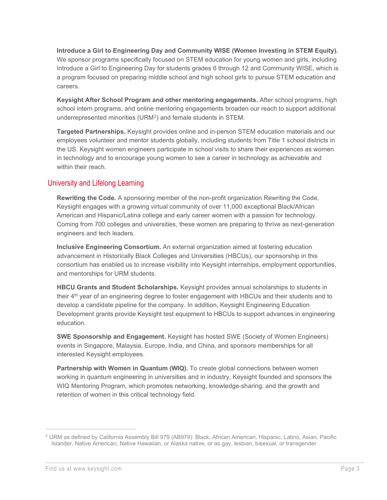**Introduce a Girl to Engineering Day and Community WISE (Women Investing in STEM Equity).** We sponsor programs specifically focused on STEM education for young women and girls, including Introduce a Girl to Engineering Day for students grades 6 through 12 and Community WISE, which is a program focused on preparing middle school and high school girls to pursue STEM education and careers.

**Keysight After School Program and other mentoring engagements.** After school programs, high school intern programs, and online mentoring engagements broaden our reach to support additional underrepresented minorities (URM[2\)](#page-2-0) and female students in STEM.

**Targeted Partnerships.** Keysight provides online and in-person STEM education materials and our employees volunteer and mentor students globally, including students from Title 1 school districts in the US. Keysight women engineers participate in school visits to share their experiences as women in technology and to encourage young women to see a career in technology as achievable and within their reach.

#### University and Lifelong Learning

**Rewriting the Code.** A sponsoring member of the non-profit organization Rewriting the Code, Keysight engages with a growing virtual community of over 11,000 exceptional Black/African American and Hispanic/Latina college and early career women with a passion for technology. Coming from 700 colleges and universities, these women are preparing to thrive as next-generation engineers and tech leaders.

**Inclusive Engineering Consortium.** An external organization aimed at fostering education advancement in Historically Black Colleges and Universities (HBCUs), our sponsorship in this consortium has enabled us to increase visibility into Keysight internships, employment opportunities, and mentorships for URM students.

**HBCU Grants and Student Scholarships.** Keysight provides annual scholarships to students in their 4<sup>th</sup> year of an engineering degree to foster engagement with HBCUs and their students and to develop a candidate pipeline for the company. In addition, Keysight Engineering Education Development grants provide Keysight test equipment to HBCUs to support advances in engineering education.

**SWE Sponsorship and Engagement.** Keysight has hosted SWE (Society of Women Engineers) events in Singapore, Malaysia, Europe, India, and China, and sponsors memberships for all interested Keysight employees.

**Partnership with Women in Quantum (WIQ).** To create global connections between women working in quantum engineering in universities and in industry, Keysight founded and sponsors the WIQ Mentoring Program, which promotes networking, knowledge-sharing, and the growth and retention of women in this critical technology field.

<span id="page-2-0"></span><sup>2</sup> URM as defined by California Assembly Bill 979 (AB979): Black, African American, Hispanic, Latino, Asian, Pacific Islander, Native American, Native Hawaiian, or Alaska native, or as gay, lesbian, bisexual, or transgender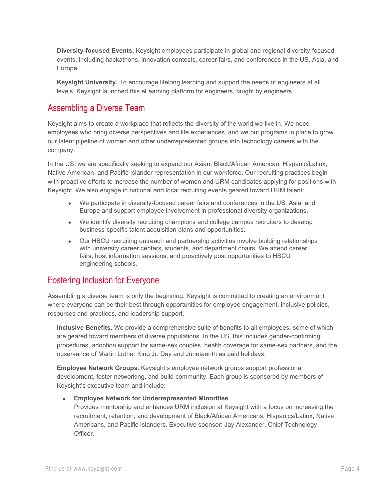**Diversity-focused Events.** Keysight employees participate in global and regional diversity-focused events, including hackathons, innovation contests, career fairs, and conferences in the US, Asia, and Europe.

**Keysight University.** To encourage lifelong learning and support the needs of engineers at all levels, Keysight launched this eLearning platform for engineers, taught by engineers.

### Assembling a Diverse Team

Keysight aims to create a workplace that reflects the diversity of the world we live in. We need employees who bring diverse perspectives and life experiences, and we put programs in place to grow our talent pipeline of women and other underrepresented groups into technology careers with the company.

In the US, we are specifically seeking to expand our Asian, Black/African American, Hispanic/Latinx, Native American, and Pacific Islander representation in our workforce. Our recruiting practices begin with proactive efforts to increase the number of women and URM candidates applying for positions with Keysight. We also engage in national and local recruiting events geared toward URM talent:

- We participate in diversity-focused career fairs and conferences in the US, Asia, and Europe and support employee involvement in professional diversity organizations.
- We identify diversity recruiting champions and college campus recruiters to develop business-specific talent acquisition plans and opportunities.
- Our HBCU recruiting outreach and partnership activities involve building relationships with university career centers, students, and department chairs. We attend career fairs, host information sessions, and proactively post opportunities to HBCU engineering schools.

# Fostering Inclusion for Everyone

Assembling a diverse team is only the beginning. Keysight is committed to creating an environment where everyone can be their best through opportunities for employee engagement, inclusive policies, resources and practices, and leadership support.

**Inclusive Benefits.** We provide a comprehensive suite of benefits to all employees, some of which are geared toward members of diverse populations. In the US, this includes gender-confirming procedures, adoption support for same-sex couples, health coverage for same-sex partners, and the observance of Martin Luther King Jr. Day and Juneteenth as paid holidays.

**Employee Network Groups.** Keysight's employee network groups support professional development, foster networking, and build community. Each group is sponsored by members of Keysight's executive team and include:

#### • **Employee Network for Underrepresented Minorities**

Provides mentorship and enhances URM inclusion at Keysight with a focus on increasing the recruitment, retention, and development of Black/African Americans, Hispanics/Latinx, Native Americans, and Pacific Islanders. Executive sponsor: Jay Alexander, Chief Technology Officer.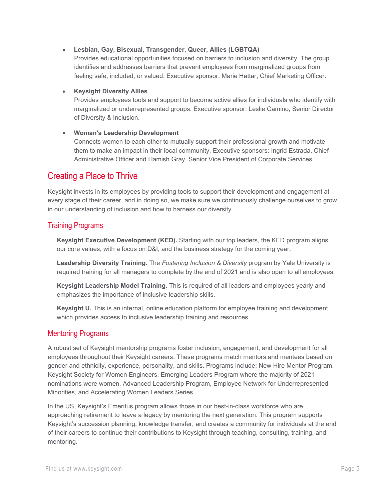#### • **Lesbian, Gay, Bisexual, Transgender, Queer, Allies (LGBTQA)**

Provides educational opportunities focused on barriers to inclusion and diversity. The group identifies and addresses barriers that prevent employees from marginalized groups from feeling safe, included, or valued. Executive sponsor: Marie Hattar, Chief Marketing Officer.

#### • **Keysight Diversity Allies**

Provides employees tools and support to become active allies for individuals who identify with marginalized or underrepresented groups. Executive sponsor: Leslie Camino, Senior Director of Diversity & Inclusion.

#### • **Woman's Leadership Development**

Connects women to each other to mutually support their professional growth and motivate them to make an impact in their local community. Executive sponsors: Ingrid Estrada, Chief Administrative Officer and Hamish Gray, Senior Vice President of Corporate Services.

### Creating a Place to Thrive

Keysight invests in its employees by providing tools to support their development and engagement at every stage of their career, and in doing so, we make sure we continuously challenge ourselves to grow in our understanding of inclusion and how to harness our diversity.

### Training Programs

**Keysight Executive Development (KED).** Starting with our top leaders, the KED program aligns our core values, with a focus on D&I, and the business strategy for the coming year.

**Leadership Diversity Training.** The *Fostering Inclusion & Diversity* program by Yale University is required training for all managers to complete by the end of 2021 and is also open to all employees.

**Keysight Leadership Model Training**. This is required of all leaders and employees yearly and emphasizes the importance of inclusive leadership skills.

**Keysight U.** This is an internal, online education platform for employee training and development which provides access to inclusive leadership training and resources.

### Mentoring Programs

A robust set of Keysight mentorship programs foster inclusion, engagement, and development for all employees throughout their Keysight careers. These programs match mentors and mentees based on gender and ethnicity, experience, personality, and skills. Programs include: New Hire Mentor Program, Keysight Society for Women Engineers, Emerging Leaders Program where the majority of 2021 nominations were women, Advanced Leadership Program, Employee Network for Underrepresented Minorities, and Accelerating Women Leaders Series.

In the US, Keysight's Emeritus program allows those in our best-in-class workforce who are approaching retirement to leave a legacy by mentoring the next generation. This program supports Keysight's succession planning, knowledge transfer, and creates a community for individuals at the end of their careers to continue their contributions to Keysight through teaching, consulting, training, and mentoring.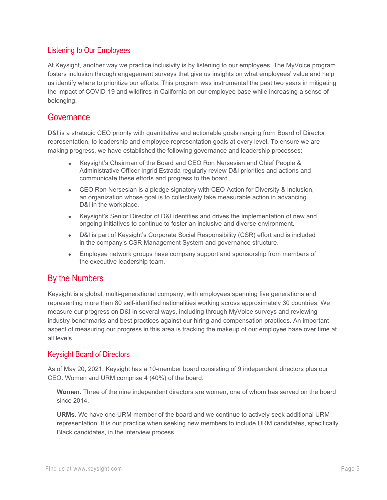### Listening to Our Employees

At Keysight, another way we practice inclusivity is by listening to our employees. The MyVoice program fosters inclusion through engagement surveys that give us insights on what employees' value and help us identify where to prioritize our efforts. This program was instrumental the past two years in mitigating the impact of COVID-19 and wildfires in California on our employee base while increasing a sense of belonging.

### **Governance**

D&I is a strategic CEO priority with quantitative and actionable goals ranging from Board of Director representation, to leadership and employee representation goals at every level. To ensure we are making progress, we have established the following governance and leadership processes:

- Keysight's Chairman of the Board and CEO Ron Nersesian and Chief People & Administrative Officer Ingrid Estrada regularly review D&I priorities and actions and communicate these efforts and progress to the board.
- CEO Ron Nersesian is a pledge signatory with CEO Action for Diversity & Inclusion, an organization whose goal is to collectively take measurable action in advancing D&I in the workplace.
- Keysight's Senior Director of D&I identifies and drives the implementation of new and ongoing initiatives to continue to foster an inclusive and diverse environment.
- D&I is part of Keysight's Corporate Social Responsibility (CSR) effort and is included in the company's CSR Management System and governance structure.
- Employee network groups have company support and sponsorship from members of the executive leadership team.

# By the Numbers

Keysight is a global, multi-generational company, with employees spanning five generations and representing more than 80 self-identified nationalities working across approximately 30 countries. We measure our progress on D&I in several ways, including through MyVoice surveys and reviewing industry benchmarks and best practices against our hiring and compensation practices. An important aspect of measuring our progress in this area is tracking the makeup of our employee base over time at all levels.

### Keysight Board of Directors

As of May 20, 2021, Keysight has a 10-member board consisting of 9 independent directors plus our CEO. Women and URM comprise 4 (40%) of the board.

**Women.** Three of the nine independent directors are women, one of whom has served on the board since 2014.

**URMs.** We have one URM member of the board and we continue to actively seek additional URM representation. It is our practice when seeking new members to include URM candidates, specifically Black candidates, in the interview process.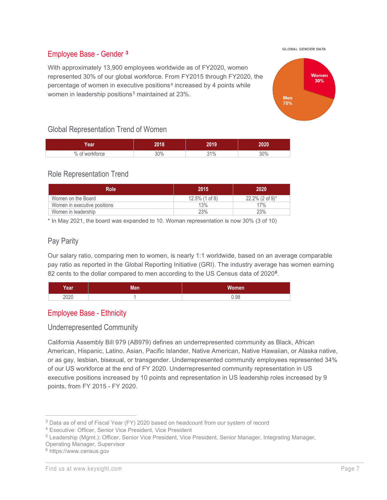**GLOBAL GENDER DATA** 

#### Employee Base - Gender **[3](#page-6-0)**

With approximately 13,900 employees worldwide as of FY2020, women represented 30% of our global workforce. From FY2015 through FY2020, the percentage of women in executive positions<sup>[4](#page-6-1)</sup> increased by 4 points while women in leadership positions<sup>[5](#page-6-2)</sup> maintained at 23%.



#### Global Representation Trend of Women

| <b>AAP</b><br>wa     | hnad | nn 4 n    |     |
|----------------------|------|-----------|-----|
| 0/<br><b>rktorce</b> | 200/ | 10/<br>7٥ | 30% |

#### Role Representation Trend

| <b>Role</b>                  | 2015              | 2020                           |
|------------------------------|-------------------|--------------------------------|
| Women on the Board           | $12.5\%$ (1 of 8) | $22.2\%$ (2 of 9) <sup>*</sup> |
| Women in executive positions | 13%               | 17%                            |
| Women in leadership          | 23%               | 23%                            |

\* In May 2021, the board was expanded to 10. Woman representation is now 30% (3 of 10)

### Pay Parity

Our salary ratio, comparing men to women, is nearly 1:1 worldwide, based on an average comparable pay ratio as reported in the Global Reporting Initiative (GRI). The industry average has women earning 82 cents to the dollar compared to men according to the US Census data of 2020<sup>6</sup>.

| Year' | 1.0 | <b>Women</b> |
|-------|-----|--------------|
| 2020  |     | 0.98         |

#### Employee Base - Ethnicity

#### Underrepresented Community

California Assembly Bill 979 (AB979) defines an underrepresented community as Black, African American, Hispanic, Latino, Asian, Pacific Islander, Native American, Native Hawaiian, or Alaska native, or as gay, lesbian, bisexual, or transgender. Underrepresented community employees represented 34% of our US workforce at the end of FY 2020. Underrepresented community representation in US executive positions increased by 10 points and representation in US leadership roles increased by 9 points, from FY 2015 - FY 2020.

<span id="page-6-1"></span><span id="page-6-0"></span><sup>3</sup> Data as of end of Fiscal Year (FY) 2020 based on headcount from our system of record

<sup>4</sup> Executive: Officer, Senior Vice President, Vice President

<span id="page-6-2"></span><sup>5</sup> Leadership (Mgmt.): Officer, Senior Vice President, Vice President, Senior Manager, Integrating Manager,

Operating Manager, Supervisor

<span id="page-6-3"></span><sup>6</sup> https://www.census.gov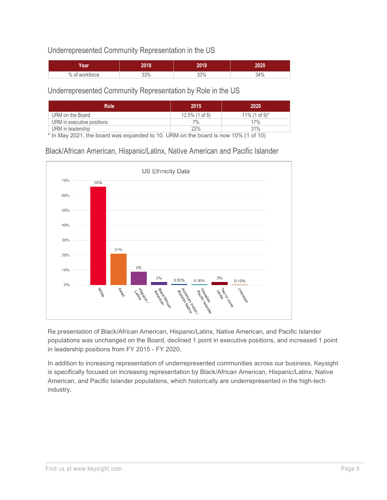### Underrepresented Community Representation in the US

| 'ear   | 2018 | 1019                 | 2020 |
|--------|------|----------------------|------|
| $%$ of | 33%  | 530<br><u>.აა 7ი</u> | 34%  |

#### Underrepresented Community Representation by Role in the US

| <b>Role</b>                | 2015              | 2020                         |
|----------------------------|-------------------|------------------------------|
| URM on the Board           | $12.5\%$ (1 of 8) | $11\%$ (1 of 9) <sup>*</sup> |
| URM in executive positions | $7\%$             | 17%                          |
| URM in leadership          | 22%               | 31%                          |

\* In May 2021, the board was expanded to 10. URM on the board is now 10% (1 of 10)

Black/African American, Hispanic/Latinx, Native American and Pacific Islander



Re presentation of Black/African American, Hispanic/Latinx, Native American, and Pacific Islander populations was unchanged on the Board, declined 1 point in executive positions, and increased 1 point in leadership positions from FY 2015 - FY 2020.

In addition to increasing representation of underrepresented communities across our business, Keysight is specifically focused on increasing representation by Black/African American, Hispanic/Latinx, Native American, and Pacific Islander populations, which historically are underrepresented in the high-tech industry.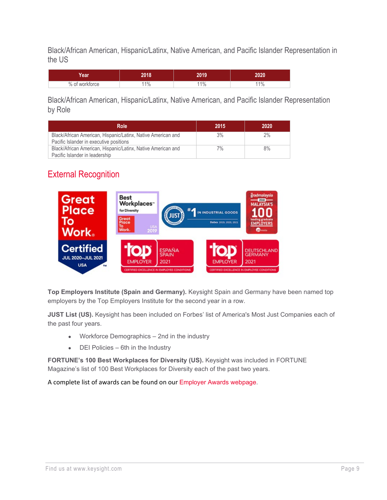Black/African American, Hispanic/Latinx, Native American, and Pacific Islander Representation in the US

| <b>ear</b>     | 2018 | ט ו                    | 2020                   |
|----------------|------|------------------------|------------------------|
| % of workforce | 1%   | 40 <sub>i</sub><br>-70 | 40 <sub>i</sub><br>170 |

Black/African American, Hispanic/Latinx, Native American, and Pacific Islander Representation by Role

| <b>Role</b>                                                                                             | 2015 | 2020  |
|---------------------------------------------------------------------------------------------------------|------|-------|
| Black/African American, Hispanic/Latinx, Native American and<br>Pacific Islander in executive positions | 3%   | $2\%$ |
| Black/African American, Hispanic/Latinx, Native American and<br>Pacific Islander in leadership          | 7%   | 8%    |

# External Recognition



**Top Employers Institute (Spain and Germany).** Keysight Spain and Germany have been named top employers by the Top Employers Institute for the second year in a row.

**JUST List (US).** Keysight has been included on Forbes' list of America's Most Just Companies each of the past four years.

- Workforce Demographics 2nd in the industry
- DEI Policies 6th in the Industry

**FORTUNE's 100 Best Workplaces for Diversity (US).** Keysight was included in FORTUNE Magazine's list of 100 Best Workplaces for Diversity each of the past two years.

A complete list of awards can be found on our [Employer Awards webpage.](https://jobs.keysight.com/content/Employer-Awards/?locale=en_US)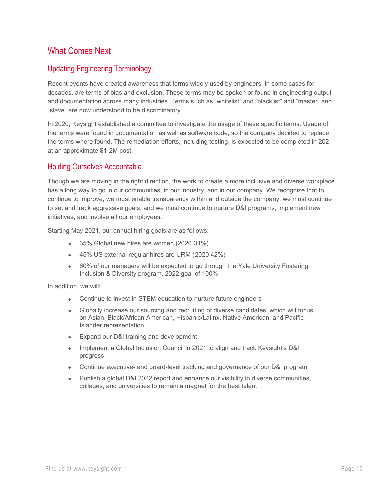# What Comes Next

### Updating Engineering Terminology.

Recent events have created awareness that terms widely used by engineers, in some cases for decades, are terms of bias and exclusion. These terms may be spoken or found in engineering output and documentation across many industries. Terms such as "whitelist" and "blacklist" and "master" and "slave" are now understood to be discriminatory.

In 2020, Keysight established a committee to investigate the usage of these specific terms. Usage of the terms were found in documentation as well as software code, so the company decided to replace the terms where found. The remediation efforts, including testing, is expected to be completed in 2021 at an approximate \$1-2M cost.

#### Holding Ourselves Accountable

Though we are moving in the right direction, the work to create a more inclusive and diverse workplace has a long way to go in our communities, in our industry, and in our company. We recognize that to continue to improve, we must enable transparency within and outside the company; we must continue to set and track aggressive goals; and we must continue to nurture D&I programs, implement new initiatives, and involve all our employees.

Starting May 2021, our annual hiring goals are as follows:

- 35% Global new hires are women (2020 31%)
- 45% US external regular hires are URM (2020 42%)
- 80% of our managers will be expected to go through the Yale University Fostering Inclusion & Diversity program. 2022 goal of 100%

In addition, we will:

- Continue to invest in STEM education to nurture future engineers
- Globally increase our sourcing and recruiting of diverse candidates, which will focus on Asian, Black/African American, Hispanic/Latinx, Native American, and Pacific Islander representation
- Expand our D&I training and development
- Implement a Global Inclusion Council in 2021 to align and track Keysight's D&I progress
- Continue executive- and board-level tracking and governance of our D&I program
- Publish a global D&I 2022 report and enhance our visibility in diverse communities, colleges, and universities to remain a magnet for the best talent